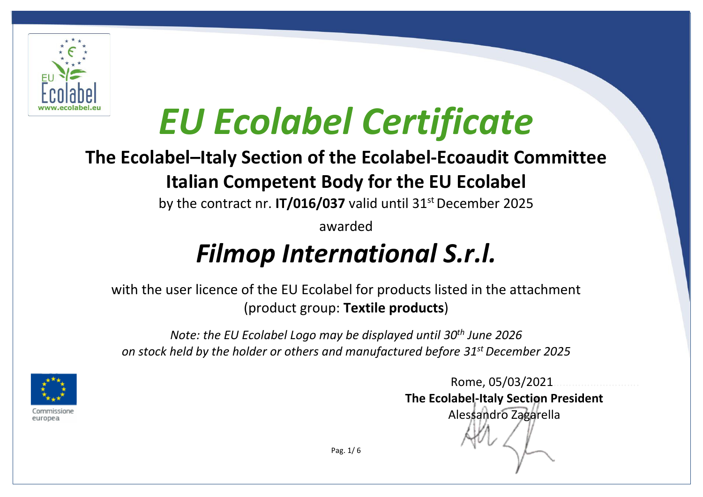

### **The Ecolabel–Italy Section of the Ecolabel-Ecoaudit Committee Italian Competent Body for the EU Ecolabel**

by the contract nr. **IT/016/037** valid until 31<sup>st</sup> December 2025

awarded

## *Filmop International S.r.l.*

with the user licence of the EU Ecolabel for products listed in the attachment (product group: **Textile products**)

*Note: the EU Ecolabel Logo may be displayed until 30th June 2026 on stock held by the holder or others and manufactured before 31st December 2025*



 Rome, 05/03/2021………………………. **The Ecolabel-Italy Section President**  Alessandro Zagarella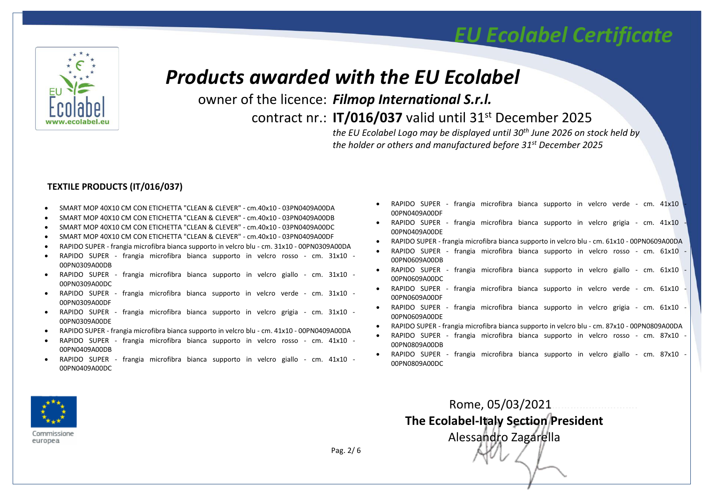

#### *Products awarded with the EU Ecolabel*

owner of the licence: *Filmop International S.r.l.*

contract nr.: **IT/016/037** valid until 31st December 2025

*the EU Ecolabel Logo may be displayed until 30th June 2026 on stock held by the holder or others and manufactured before 31st December 2025*

#### **TEXTILE PRODUCTS (IT/016/037)**

- SMART MOP 40X10 CM CON ETICHETTA "CLEAN & CLEVER" cm.40x10 03PN0409A00DA
- SMART MOP 40X10 CM CON ETICHETTA "CLEAN & CLEVER" cm.40x10 03PN0409A00DB
- SMART MOP 40X10 CM CON ETICHETTA "CLEAN & CLEVER" cm.40x10 03PN0409A00DC
- SMART MOP 40X10 CM CON ETICHETTA "CLEAN & CLEVER" cm.40x10 03PN0409A00DF
- RAPIDO SUPER frangia microfibra bianca supporto in velcro blu cm. 31x10 00PN0309A00DA
- RAPIDO SUPER frangia microfibra bianca supporto in velcro rosso cm. 31x10 00PN0309A00DB
- RAPIDO SUPER frangia microfibra bianca supporto in velcro giallo cm. 31x10 00PN0309A00DC
- RAPIDO SUPER frangia microfibra bianca supporto in velcro verde cm. 31x10 00PN0309A00DF
- RAPIDO SUPER frangia microfibra bianca supporto in velcro grigia cm. 31x10 00PN0309A00DE
- RAPIDO SUPER frangia microfibra bianca supporto in velcro blu cm. 41x10 00PN0409A00DA
- RAPIDO SUPER frangia microfibra bianca supporto in velcro rosso cm. 41x10 00PN0409A00DB
- RAPIDO SUPER frangia microfibra bianca supporto in velcro giallo cm. 41x10 00PN0409A00DC
- RAPIDO SUPER frangia microfibra bianca supporto in velcro verde cm. 41x10 00PN0409A00DF
- RAPIDO SUPER frangia microfibra bianca supporto in velcro grigia cm. 41x10 00PN0409A00DE
- RAPIDO SUPER frangia microfibra bianca supporto in velcro blu cm. 61x10 00PN0609A00DA
- RAPIDO SUPER frangia microfibra bianca supporto in velcro rosso cm. 61x10 00PN0609A00DB
- RAPIDO SUPER frangia microfibra bianca supporto in velcro giallo cm. 61x10 00PN0609A00DC
- RAPIDO SUPER frangia microfibra bianca supporto in velcro verde cm. 61x10 00PN0609A00DF
- RAPIDO SUPER frangia microfibra bianca supporto in velcro grigia cm. 61x10 00PN0609A00DE
- RAPIDO SUPER frangia microfibra bianca supporto in velcro blu cm. 87x10 00PN0809A00DA
- RAPIDO SUPER frangia microfibra bianca supporto in velcro rosso cm. 87x10 00PN0809A00DB
- RAPIDO SUPER frangia microfibra bianca supporto in velcro giallo cm. 87x10 00PN0809A00DC

 Rome, 05/03/2021………………………. **The Ecolabel-Italy Section President**  Alessandro Zagarella



Commissione europea

Pag. 2/ 6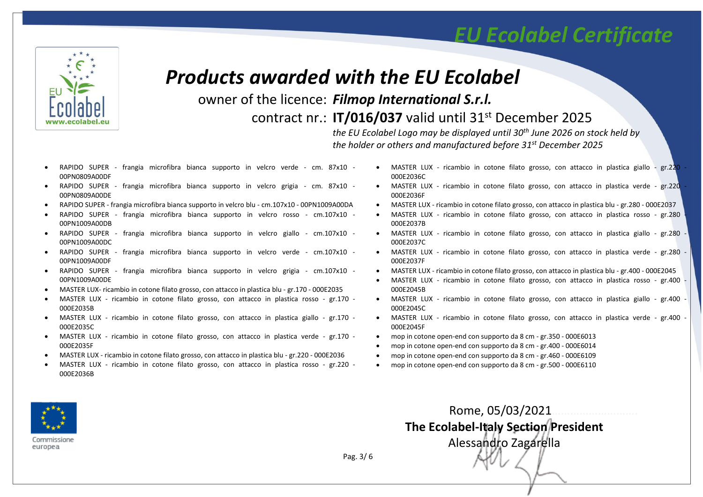

#### *Products awarded with the EU Ecolabel*

owner of the licence: *Filmop International S.r.l.*

contract nr.: **IT/016/037** valid until 31st December 2025

*the EU Ecolabel Logo may be displayed until 30th June 2026 on stock held by the holder or others and manufactured before 31st December 2025*

- RAPIDO SUPER frangia microfibra bianca supporto in velcro verde cm. 87x10 00PN0809A00DF
- RAPIDO SUPER frangia microfibra bianca supporto in velcro grigia cm. 87x10 00PN0809A00DE
- RAPIDO SUPER frangia microfibra bianca supporto in velcro blu cm.107x10 00PN1009A00DA
- RAPIDO SUPER frangia microfibra bianca supporto in velcro rosso cm.107x10 00PN1009A00DB
- RAPIDO SUPER frangia microfibra bianca supporto in velcro giallo cm.107x10 00PN1009A00DC
- RAPIDO SUPER frangia microfibra bianca supporto in velcro verde cm.107x10 00PN1009A00DF
- RAPIDO SUPER frangia microfibra bianca supporto in velcro grigia cm.107x10 00PN1009A00DE
- MASTER LUX- ricambio in cotone filato grosso, con attacco in plastica blu gr.170 000E2035
- MASTER LUX ricambio in cotone filato grosso, con attacco in plastica rosso gr.170 000E2035B
- MASTER LUX ricambio in cotone filato grosso, con attacco in plastica giallo gr.170 000E2035C
- MASTER LUX ricambio in cotone filato grosso, con attacco in plastica verde gr.170 000E2035F
- MASTER LUX ricambio in cotone filato grosso, con attacco in plastica blu gr.220 000E2036
- MASTER LUX ricambio in cotone filato grosso, con attacco in plastica rosso gr.220 000E2036B
- MASTER LUX ricambio in cotone filato grosso, con attacco in plastica giallo gr.220 000E2036C
- MASTER LUX ricambio in cotone filato grosso, con attacco in plastica verde gr.220 000E2036F
- MASTER LUX ricambio in cotone filato grosso, con attacco in plastica blu gr.280 000E2037
- MASTER LUX ricambio in cotone filato grosso, con attacco in plastica rosso gr.280 000E2037B
- MASTER LUX ricambio in cotone filato grosso, con attacco in plastica giallo gr.280 000E2037C
- MASTER LUX ricambio in cotone filato grosso, con attacco in plastica verde gr.280 000E2037F
- MASTER LUX ricambio in cotone filato grosso, con attacco in plastica blu gr.400 000E2045
- MASTER LUX ricambio in cotone filato grosso, con attacco in plastica rosso gr.400 000E2045B
- MASTER LUX ricambio in cotone filato grosso, con attacco in plastica giallo gr.400 000E2045C
- MASTER LUX ricambio in cotone filato grosso, con attacco in plastica verde gr.400 000E2045F
- mop in cotone open-end con supporto da 8 cm gr.350 000E6013
- mop in cotone open-end con supporto da 8 cm gr.400 000E6014
- mop in cotone open-end con supporto da 8 cm gr.460 000E6109
- mop in cotone open-end con supporto da 8 cm gr.500 000E6110

 Rome, 05/03/2021………………………. **The Ecolabel-Italy Section President**  Alessandro Zagarella



Commissione europea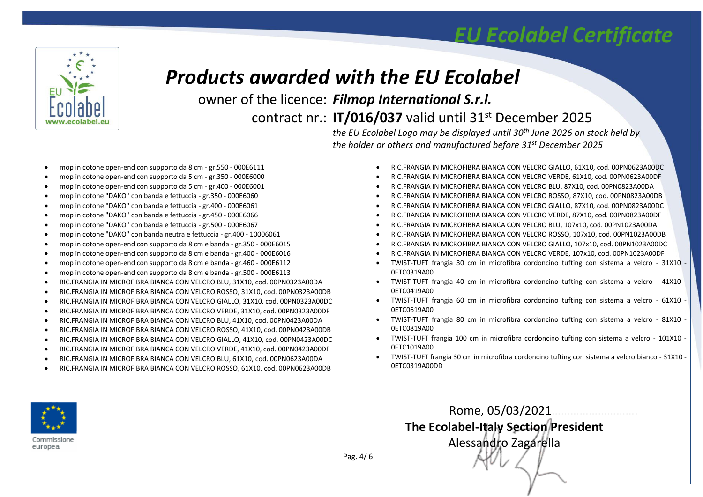

#### *Products awarded with the EU Ecolabel*

owner of the licence: *Filmop International S.r.l.*

contract nr.: **IT/016/037** valid until 31st December 2025

*the EU Ecolabel Logo may be displayed until 30th June 2026 on stock held by the holder or others and manufactured before 31st December 2025*

- mop in cotone open-end con supporto da 8 cm gr.550 000E6111
- mop in cotone open-end con supporto da 5 cm gr.350 000E6000
- mop in cotone open-end con supporto da 5 cm gr.400 000E6001
- mop in cotone "DAKO" con banda e fettuccia gr.350 000E6060
- mop in cotone "DAKO" con banda e fettuccia gr.400 000E6061
- mop in cotone "DAKO" con banda e fettuccia gr.450 000E6066
- mop in cotone "DAKO" con banda e fettuccia gr.500 000E6067
- mop in cotone "DAKO" con banda neutra e fettuccia gr.400 10006061
- mop in cotone open-end con supporto da 8 cm e banda gr.350 000E6015
- mop in cotone open-end con supporto da 8 cm e banda gr.400 000E6016
- mop in cotone open-end con supporto da 8 cm e banda gr.460 000E6112
- mop in cotone open-end con supporto da 8 cm e banda gr.500 000E6113
- RIC.FRANGIA IN MICROFIBRA BIANCA CON VELCRO BLU, 31X10, cod. 00PN0323A00DA
- RIC.FRANGIA IN MICROFIBRA BIANCA CON VELCRO ROSSO, 31X10, cod. 00PN0323A00DB
- RIC.FRANGIA IN MICROFIBRA BIANCA CON VELCRO GIALLO, 31X10, cod. 00PN0323A00DC
- RIC.FRANGIA IN MICROFIBRA BIANCA CON VELCRO VERDE, 31X10, cod. 00PN0323A00DF
- RIC.FRANGIA IN MICROFIBRA BIANCA CON VELCRO BLU, 41X10, cod. 00PN0423A00DA
- RIC.FRANGIA IN MICROFIBRA BIANCA CON VELCRO ROSSO, 41X10, cod. 00PN0423A00DB
- RIC.FRANGIA IN MICROFIBRA BIANCA CON VELCRO GIALLO, 41X10, cod. 00PN0423A00DC
- RIC.FRANGIA IN MICROFIBRA BIANCA CON VELCRO VERDE, 41X10, cod. 00PN0423A00DF
- RIC.FRANGIA IN MICROFIBRA BIANCA CON VELCRO BLU, 61X10, cod. 00PN0623A00DA
- RIC.FRANGIA IN MICROFIBRA BIANCA CON VELCRO ROSSO, 61X10, cod. 00PN0623A00DB
- RIC.FRANGIA IN MICROFIBRA BIANCA CON VELCRO GIALLO, 61X10, cod. 00PN0623A00DC
- RIC.FRANGIA IN MICROFIBRA BIANCA CON VELCRO VERDE, 61X10, cod. 00PN0623A00DF
- RIC.FRANGIA IN MICROFIBRA BIANCA CON VELCRO BLU, 87X10, cod. 00PN0823A00DA
- RIC.FRANGIA IN MICROFIBRA BIANCA CON VELCRO ROSSO, 87X10, cod. 00PN0823A00DB
- RIC.FRANGIA IN MICROFIBRA BIANCA CON VELCRO GIALLO, 87X10, cod. 00PN0823A00DC
- RIC.FRANGIA IN MICROFIBRA BIANCA CON VELCRO VERDE, 87X10, cod. 00PN0823A00DF
- RIC.FRANGIA IN MICROFIBRA BIANCA CON VELCRO BLU, 107x10, cod. 00PN1023A00DA
- RIC.FRANGIA IN MICROFIBRA BIANCA CON VELCRO ROSSO, 107x10, cod. 00PN1023A00DB
- RIC.FRANGIA IN MICROFIBRA BIANCA CON VELCRO GIALLO, 107x10, cod. 00PN1023A00DC
- RIC.FRANGIA IN MICROFIBRA BIANCA CON VELCRO VERDE, 107x10, cod. 00PN1023A00DF
- TWIST-TUFT frangia 30 cm in microfibra cordoncino tufting con sistema a velcro 31X10 0ETC0319A00
- TWIST-TUFT frangia 40 cm in microfibra cordoncino tufting con sistema a velcro 41X10 0ETC0419A00
- TWIST-TUFT frangia 60 cm in microfibra cordoncino tufting con sistema a velcro 61X10 0ETC0619A00
- TWIST-TUFT frangia 80 cm in microfibra cordoncino tufting con sistema a velcro 81X10 0ETC0819A00
- TWIST-TUFT frangia 100 cm in microfibra cordoncino tufting con sistema a velcro 101X10 0ETC1019A00
- TWIST-TUFT frangia 30 cm in microfibra cordoncino tufting con sistema a velcro bianco 31X10 0ETC0319A00DD

Rome, 05/03/2021……………………….

**The Ecolabel-Italy Section President**  Alessandro Zagarella



Commissione europea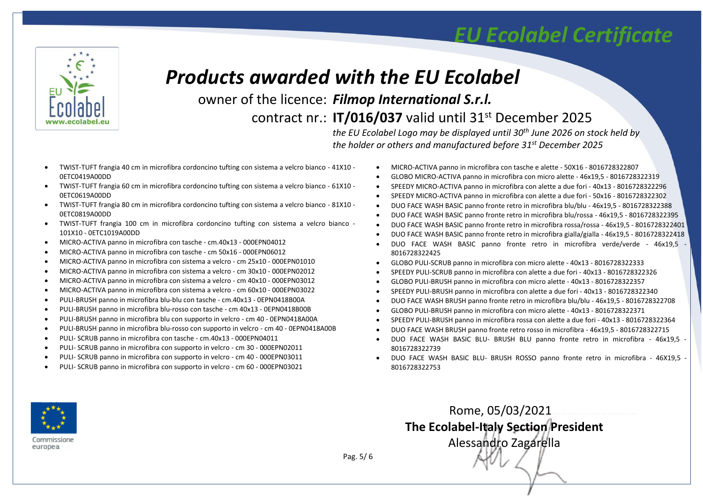

#### *Products awarded with the EU Ecolabel*

owner of the licence: *Filmop International S.r.l.*

contract nr.: **IT/016/037** valid until 31st December 2025

*the EU Ecolabel Logo may be displayed until 30th June 2026 on stock held by the holder or others and manufactured before 31st December 2025*

- TWIST-TUFT frangia 40 cm in microfibra cordoncino tufting con sistema a velcro bianco 41X10 0ETC0419A00DD
- TWIST-TUFT frangia 60 cm in microfibra cordoncino tufting con sistema a velcro bianco 61X10 0ETC0619A00DD
- TWIST-TUFT frangia 80 cm in microfibra cordoncino tufting con sistema a velcro bianco 81X10 0ETC0819A00DD
- TWIST-TUFT frangia 100 cm in microfibra cordoncino tufting con sistema a velcro bianco 101X10 - 0ETC1019A00DD
- MICRO-ACTIVA panno in microfibra con tasche cm.40x13 000EPN04012
- MICRO-ACTIVA panno in microfibra con tasche cm 50x16 000EPN06012
- MICRO-ACTIVA panno in microfibra con sistema a velcro cm 25x10 000EPN01010
- MICRO-ACTIVA panno in microfibra con sistema a velcro cm 30x10 000EPN02012
- MICRO-ACTIVA panno in microfibra con sistema a velcro cm 40x10 000EPN03012
- MICRO-ACTIVA panno in microfibra con sistema a velcro cm 60x10 000EPN03022
- PULI-BRUSH panno in microfibra blu-blu con tasche cm.40x13 0EPN0418B00A
- PULI-BRUSH panno in microfibra blu-rosso con tasche cm 40x13 0EPN0418B00B
- PULI-BRUSH panno in microfibra blu con supporto in velcro cm 40 0EPN0418A00A
- PULI-BRUSH panno in microfibra blu-rosso con supporto in velcro cm 40 0EPN0418A00B
- PULI- SCRUB panno in microfibra con tasche cm.40x13 000EPN04011
- PULI- SCRUB panno in microfibra con supporto in velcro cm 30 000EPN02011
- PULI- SCRUB panno in microfibra con supporto in velcro cm 40 000EPN03011
- PULI- SCRUB panno in microfibra con supporto in velcro cm 60 000EPN03021
- MICRO-ACTIVA panno in microfibra con tasche e alette 50X16 8016728322807
- GLOBO MICRO-ACTIVA panno in microfibra con micro alette 46x19,5 8016728322319
- SPEEDY MICRO-ACTIVA panno in microfibra con alette a due fori 40x13 8016728322296
- SPEEDY MICRO-ACTIVA panno in microfibra con alette a due fori 50x16 8016728322302
- DUO FACE WASH BASIC panno fronte retro in microfibra blu/blu 46x19,5 8016728322388
- DUO FACE WASH BASIC panno fronte retro in microfibra blu/rossa 46x19,5 8016728322395
- DUO FACE WASH BASIC panno fronte retro in microfibra rossa/rossa 46x19,5 8016728322401
- DUO FACE WASH BASIC panno fronte retro in microfibra gialla/gialla 46x19,5 8016728322418
- DUO FACE WASH BASIC panno fronte retro in microfibra verde/verde 46x19,5 8016728322425
- GLOBO PULI-SCRUB panno in microfibra con micro alette 40x13 8016728322333
- SPEEDY PULI-SCRUB panno in microfibra con alette a due fori 40x13 8016728322326
- GLOBO PULI-BRUSH panno in microfibra con micro alette 40x13 8016728322357
- SPEEDY PULI-BRUSH panno in microfibra con alette a due fori 40x13 8016728322340
- DUO FACE WASH BRUSH panno fronte retro in microfibra blu/blu 46x19,5 8016728322708
- GLOBO PULI-BRUSH panno in microfibra con micro alette 40x13 8016728322371

Rome, 05/03/2021……………………….

**The Ecolabel-Italy Section President**  Alessandro Zagarella

- SPEEDY PULI-BRUSH panno in microfibra rossa con alette a due fori 40x13 8016728322364
- DUO FACE WASH BRUSH panno fronte retro rosso in microfibra 46x19,5 8016728322715
- DUO FACE WASH BASIC BLU- BRUSH BLU panno fronte retro in microfibra 46x19,5 8016728322739
- DUO FACE WASH BASIC BLU- BRUSH ROSSO panno fronte retro in microfibra 46X19,5 8016728322753



Commissione europea